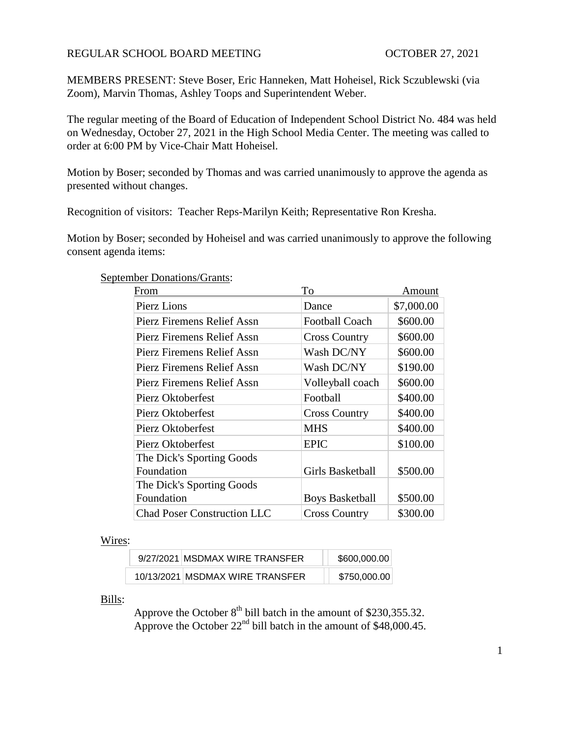# REGULAR SCHOOL BOARD MEETING **CONTROL CONTROL SCHOOL OCTOBER** 27, 2021

MEMBERS PRESENT: Steve Boser, Eric Hanneken, Matt Hoheisel, Rick Sczublewski (via Zoom), Marvin Thomas, Ashley Toops and Superintendent Weber.

The regular meeting of the Board of Education of Independent School District No. 484 was held on Wednesday, October 27, 2021 in the High School Media Center. The meeting was called to order at 6:00 PM by Vice-Chair Matt Hoheisel.

Motion by Boser; seconded by Thomas and was carried unanimously to approve the agenda as presented without changes.

Recognition of visitors: Teacher Reps-Marilyn Keith; Representative Ron Kresha.

Motion by Boser; seconded by Hoheisel and was carried unanimously to approve the following consent agenda items:

| From                               | To                     | Amount     |
|------------------------------------|------------------------|------------|
| Pierz Lions                        | Dance                  | \$7,000.00 |
| Pierz Firemens Relief Assn         | <b>Football Coach</b>  | \$600.00   |
| Pierz Firemens Relief Assn         | <b>Cross Country</b>   | \$600.00   |
| Pierz Firemens Relief Assn         | Wash DC/NY             | \$600.00   |
| Pierz Firemens Relief Assn         | Wash DC/NY             | \$190.00   |
| Pierz Firemens Relief Assn         | Volleyball coach       | \$600.00   |
| Pierz Oktoberfest                  | Football               | \$400.00   |
| Pierz Oktoberfest                  | <b>Cross Country</b>   | \$400.00   |
| Pierz Oktoberfest                  | <b>MHS</b>             | \$400.00   |
| Pierz Oktoberfest                  | <b>EPIC</b>            | \$100.00   |
| The Dick's Sporting Goods          |                        |            |
| Foundation                         | Girls Basketball       | \$500.00   |
| The Dick's Sporting Goods          |                        |            |
| Foundation                         | <b>Boys Basketball</b> | \$500.00   |
| <b>Chad Poser Construction LLC</b> | <b>Cross Country</b>   | \$300.00   |

# September Donations/Grants:

## Wires:

| 9/27/2021 MSDMAX WIRE TRANSFER  | \$600,000.00 |
|---------------------------------|--------------|
| 10/13/2021 MSDMAX WIRE TRANSFER | \$750,000.00 |

Bills:

Approve the October  $8<sup>th</sup>$  bill batch in the amount of \$230,355.32. Approve the October  $22<sup>nd</sup>$  bill batch in the amount of \$48,000.45.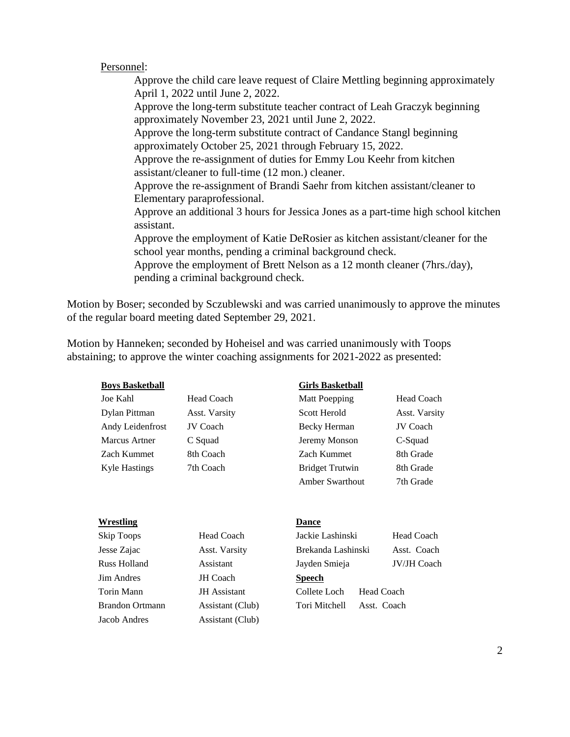## Personnel:

Approve the child care leave request of Claire Mettling beginning approximately April 1, 2022 until June 2, 2022. Approve the long-term substitute teacher contract of Leah Graczyk beginning approximately November 23, 2021 until June 2, 2022. Approve the long-term substitute contract of Candance Stangl beginning approximately October 25, 2021 through February 15, 2022. Approve the re-assignment of duties for Emmy Lou Keehr from kitchen assistant/cleaner to full-time (12 mon.) cleaner. Approve the re-assignment of Brandi Saehr from kitchen assistant/cleaner to Elementary paraprofessional. Approve an additional 3 hours for Jessica Jones as a part-time high school kitchen assistant. Approve the employment of Katie DeRosier as kitchen assistant/cleaner for the school year months, pending a criminal background check. Approve the employment of Brett Nelson as a 12 month cleaner (7hrs./day), pending a criminal background check.

Motion by Boser; seconded by Sczublewski and was carried unanimously to approve the minutes of the regular board meeting dated September 29, 2021.

Motion by Hanneken; seconded by Hoheisel and was carried unanimously with Toops abstaining; to approve the winter coaching assignments for 2021-2022 as presented:

### **Boys Basketball Girls Basketball**

Joe Kahl Head Coach Matt Poe Kahl Matt Poe Matt Poe Matt Poe Matt Poe Matt Poe Matt Poe Matt Poe Matt Poe Matt Poe Matt Poe Matt Poe Matt Poe Matt Poe Matt Poe Matt Poe Matt Poe Matt Poe Matt Poe Matt Poe Matt Poe Matt Poe Dylan Pittman Asst. Varsity Scott Herold Asst. Varsity Andy Leidenfrost JV Coach Becky Herman JV Coach Marcus Artner C-Squad Zach Kummet 8th Coach Zach Kummet 2 Kyle Hastings 7th Coach Bridget Truthwin 8th Bridget Truthwin 8th Bridget Truthwin 8th Bridget Truthwin 8th Grade Truthwin 8th Bridget Truthwin 8th Bridget Truthwin 8th Grade Truthwin 8th Bridget Truthwin 8th Bridget Truth

| <b>Matt Poepping</b>   | <b>Head Coach</b> |
|------------------------|-------------------|
| Scott Herold           | Asst. Varsity     |
| Becky Herman           | <b>JV</b> Coach   |
| Jeremy Monson          | C-Squad           |
| Zach Kummet            | 8th Grade         |
| <b>Bridget Trutwin</b> | 8th Grade         |
| Amber Swarthout        | 7th Grade         |

### **Wrestling Dance**

Jesse Zajac Asst. Varsity **Jim Andres JH Coach** Torin Mann JH Assistant Brandon Ortmann Assistant (Club) Jacob Andres Assistant (Club)

Skip Toops Head Coach

| Skip Toops             | <b>Head Coach</b>   | Jackie Lashinski   | <b>Head Coach</b>  |
|------------------------|---------------------|--------------------|--------------------|
| Jesse Zajac            | Asst. Varsity       | Brekanda Lashinski | Asst. Coach        |
| Russ Holland           | Assistant           | Jayden Smieja      | <b>JV/JH Coach</b> |
| <b>Jim Andres</b>      | JH Coach            | <b>Speech</b>      |                    |
| Torin Mann             | <b>JH</b> Assistant | Collete Loch       | Head Coach         |
| <b>Brandon Ortmann</b> | Assistant (Club)    | Tori Mitchell      | Asst. Coach        |